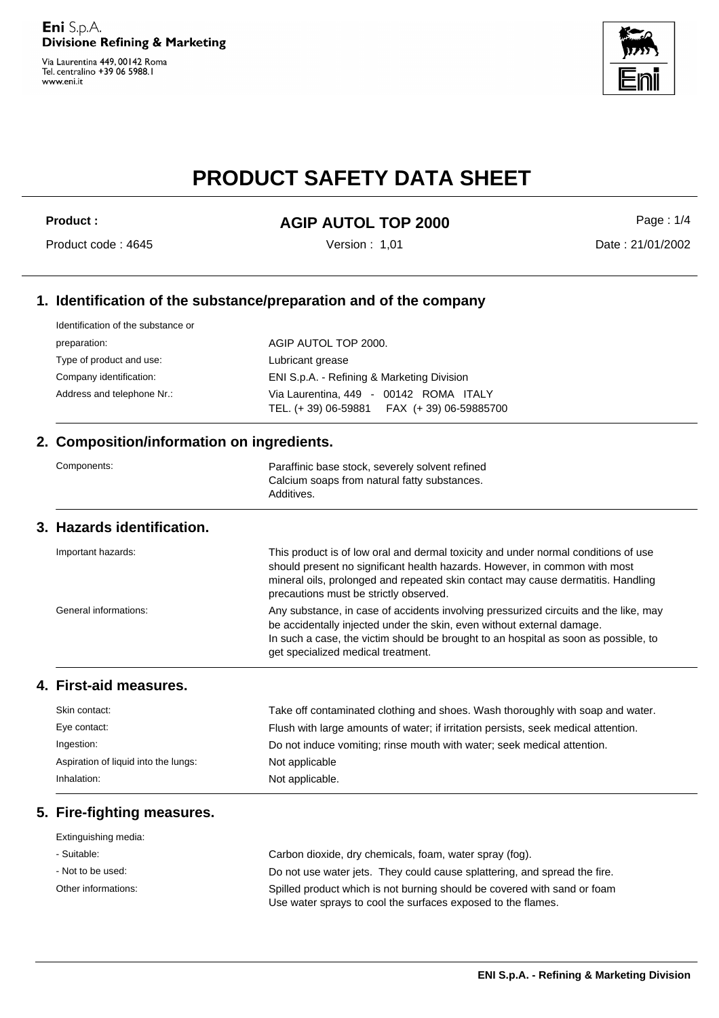Via Laurentina 449, 00142 Roma Tel. centralino +39 06 5988.1 www.eni.it



# **PRODUCT SAFETY DATA SHEET**

# Product : **AGIP AUTOL TOP 2000**

Version : 1,01

Page : 1/4

#### Product code : 4645

Date : 21/01/2002

## **1. Identification of the substance/preparation and of the company**

| Identification of the substance or |                                                                                      |  |
|------------------------------------|--------------------------------------------------------------------------------------|--|
| preparation:                       | AGIP AUTOL TOP 2000.                                                                 |  |
| Type of product and use:           | Lubricant grease                                                                     |  |
| Company identification:            | ENI S.p.A. - Refining & Marketing Division                                           |  |
| Address and telephone Nr.:         | Via Laurentina, 449 - 00142 ROMA ITALY<br>TEL. (+39) 06-59881  FAX (+39) 06-59885700 |  |

#### **2. Composition/information on ingredients.**

| Components: | Paraffinic base stock, severely solvent refined |
|-------------|-------------------------------------------------|
|             | Calcium soaps from natural fatty substances.    |
|             | Additives.                                      |

#### **3. Hazards identification.**

| Important hazards:    | This product is of low oral and dermal toxicity and under normal conditions of use<br>should present no significant health hazards. However, in common with most<br>mineral oils, prolonged and repeated skin contact may cause dermatitis. Handling<br>precautions must be strictly observed. |
|-----------------------|------------------------------------------------------------------------------------------------------------------------------------------------------------------------------------------------------------------------------------------------------------------------------------------------|
| General informations: | Any substance, in case of accidents involving pressurized circuits and the like, may<br>be accidentally injected under the skin, even without external damage.<br>In such a case, the victim should be brought to an hospital as soon as possible, to<br>get specialized medical treatment.    |

#### **4. First-aid measures.**

| Skin contact:                        | Take off contaminated clothing and shoes. Wash thoroughly with soap and water.     |  |
|--------------------------------------|------------------------------------------------------------------------------------|--|
| Eye contact:                         | Flush with large amounts of water; if irritation persists, seek medical attention. |  |
| Ingestion:                           | Do not induce vomiting; rinse mouth with water; seek medical attention.            |  |
| Aspiration of liquid into the lungs: | Not applicable                                                                     |  |
| Inhalation:                          | Not applicable.                                                                    |  |

## **5. Fire-fighting measures.**

| Extinguishing media: |                                                                                                                                          |
|----------------------|------------------------------------------------------------------------------------------------------------------------------------------|
| - Suitable:          | Carbon dioxide, dry chemicals, foam, water spray (fog).                                                                                  |
| - Not to be used:    | Do not use water jets. They could cause splattering, and spread the fire.                                                                |
| Other informations:  | Spilled product which is not burning should be covered with sand or foam<br>Use water sprays to cool the surfaces exposed to the flames. |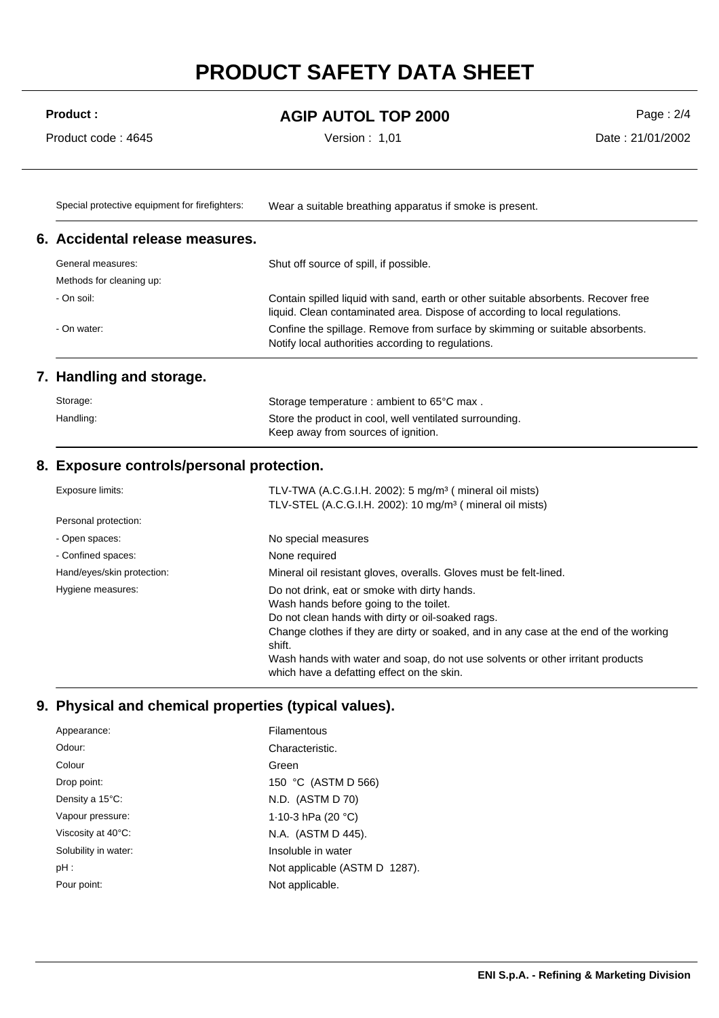# **PRODUCT SAFETY DATA SHEET**

## Product : **AGIP AUTOL TOP 2000**

Version : 1,01

Page : 2/4 Date : 21/01/2002

Product code : 4645

Special protective equipment for firefighters: Wear a suitable breathing apparatus if smoke is present.

#### **6. Accidental release measures.**

| General measures:                                                                                                                                  | Shut off source of spill, if possible.                                                                                                                            |
|----------------------------------------------------------------------------------------------------------------------------------------------------|-------------------------------------------------------------------------------------------------------------------------------------------------------------------|
| Methods for cleaning up:                                                                                                                           |                                                                                                                                                                   |
| - On soil:                                                                                                                                         | Contain spilled liquid with sand, earth or other suitable absorbents. Recover free<br>liquid. Clean contaminated area. Dispose of according to local regulations. |
| Confine the spillage. Remove from surface by skimming or suitable absorbents.<br>- On water:<br>Notify local authorities according to regulations. |                                                                                                                                                                   |

### **7. Handling and storage.**

| Storage:  | Storage temperature : ambient to 65°C max.                                                     |
|-----------|------------------------------------------------------------------------------------------------|
| Handling: | Store the product in cool, well ventilated surrounding.<br>Keep away from sources of ignition. |

### **8. Exposure controls/personal protection.**

| Exposure limits:           | TLV-TWA (A.C.G.I.H. 2002): 5 mg/m <sup>3</sup> (mineral oil mists)                                                           |  |
|----------------------------|------------------------------------------------------------------------------------------------------------------------------|--|
|                            | TLV-STEL (A.C.G.I.H. 2002): 10 mg/m <sup>3</sup> ( mineral oil mists)                                                        |  |
| Personal protection:       |                                                                                                                              |  |
| - Open spaces:             | No special measures                                                                                                          |  |
| - Confined spaces:         | None required                                                                                                                |  |
| Hand/eyes/skin protection: | Mineral oil resistant gloves, overalls. Gloves must be felt-lined.                                                           |  |
| Hygiene measures:          | Do not drink, eat or smoke with dirty hands.                                                                                 |  |
|                            | Wash hands before going to the toilet.                                                                                       |  |
|                            | Do not clean hands with dirty or oil-soaked rags.                                                                            |  |
|                            | Change clothes if they are dirty or soaked, and in any case at the end of the working<br>shift.                              |  |
|                            | Wash hands with water and soap, do not use solvents or other irritant products<br>which have a defatting effect on the skin. |  |

## **9. Physical and chemical properties (typical values).**

| Appearance:          | Filamentous                   |
|----------------------|-------------------------------|
| Odour:               | Characteristic.               |
| Colour               | Green                         |
| Drop point:          | 150 °C (ASTM D 566)           |
| Density a 15°C:      | N.D. (ASTM D 70)              |
| Vapour pressure:     | 1.10-3 hPa $(20 °C)$          |
| Viscosity at 40°C:   | N.A. (ASTM D 445).            |
| Solubility in water: | Insoluble in water            |
| $pH$ :               | Not applicable (ASTM D 1287). |
| Pour point:          | Not applicable.               |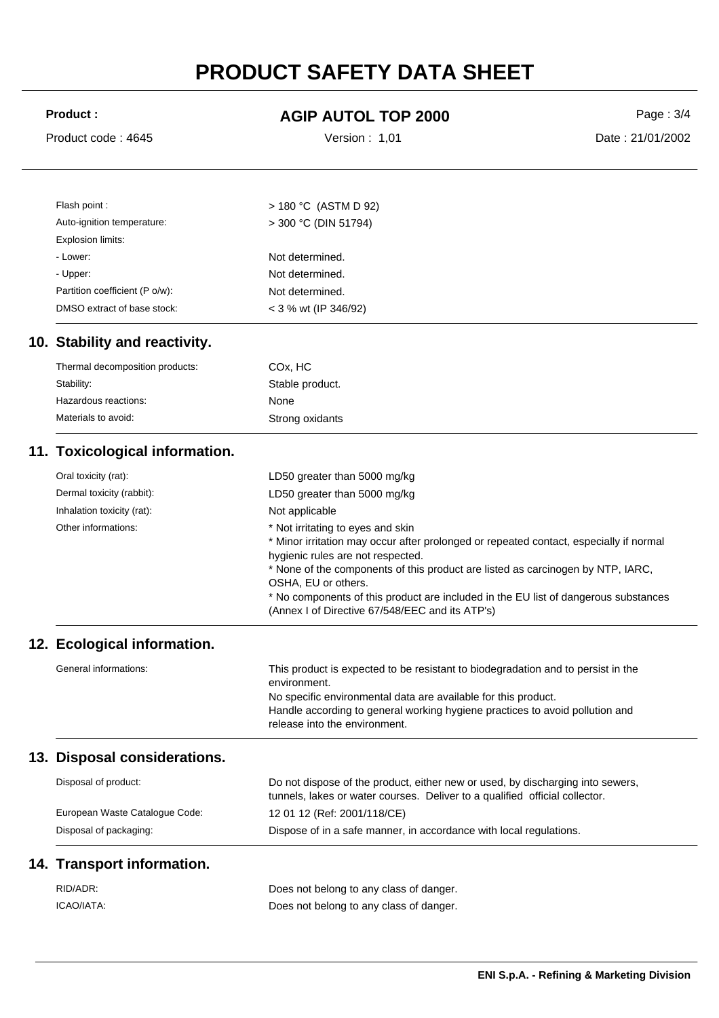# **PRODUCT SAFETY DATA SHEET**

| <b>Product:</b>                        | <b>AGIP AUTOL TOP 2000</b>                                                                                                                                                                                                                                                                                                                                                                                           | Page: 3/4        |
|----------------------------------------|----------------------------------------------------------------------------------------------------------------------------------------------------------------------------------------------------------------------------------------------------------------------------------------------------------------------------------------------------------------------------------------------------------------------|------------------|
| Product code: 4645                     | Version: 1,01                                                                                                                                                                                                                                                                                                                                                                                                        | Date: 21/01/2002 |
| Flash point :                          | > 180 °C (ASTM D 92)                                                                                                                                                                                                                                                                                                                                                                                                 |                  |
| Auto-ignition temperature:             | $>$ 300 °C (DIN 51794)                                                                                                                                                                                                                                                                                                                                                                                               |                  |
| Explosion limits:                      |                                                                                                                                                                                                                                                                                                                                                                                                                      |                  |
| - Lower:                               | Not determined.                                                                                                                                                                                                                                                                                                                                                                                                      |                  |
| - Upper:                               | Not determined.                                                                                                                                                                                                                                                                                                                                                                                                      |                  |
| Partition coefficient (P o/w):         | Not determined.                                                                                                                                                                                                                                                                                                                                                                                                      |                  |
| DMSO extract of base stock:            | < 3 % wt (IP 346/92)                                                                                                                                                                                                                                                                                                                                                                                                 |                  |
| 10. Stability and reactivity.          |                                                                                                                                                                                                                                                                                                                                                                                                                      |                  |
| Thermal decomposition products:        | CO <sub>x</sub> , HC                                                                                                                                                                                                                                                                                                                                                                                                 |                  |
| Stability:                             | Stable product.                                                                                                                                                                                                                                                                                                                                                                                                      |                  |
| Hazardous reactions:                   | None                                                                                                                                                                                                                                                                                                                                                                                                                 |                  |
| Materials to avoid:                    | Strong oxidants                                                                                                                                                                                                                                                                                                                                                                                                      |                  |
| 11. Toxicological information.         |                                                                                                                                                                                                                                                                                                                                                                                                                      |                  |
| Oral toxicity (rat):                   | LD50 greater than 5000 mg/kg                                                                                                                                                                                                                                                                                                                                                                                         |                  |
| Dermal toxicity (rabbit):              | LD50 greater than 5000 mg/kg                                                                                                                                                                                                                                                                                                                                                                                         |                  |
| Inhalation toxicity (rat):             | Not applicable                                                                                                                                                                                                                                                                                                                                                                                                       |                  |
| Other informations:                    | * Not irritating to eyes and skin<br>* Minor irritation may occur after prolonged or repeated contact, especially if normal<br>hygienic rules are not respected.<br>* None of the components of this product are listed as carcinogen by NTP, IARC,<br>OSHA, EU or others.<br>* No components of this product are included in the EU list of dangerous substances<br>(Annex I of Directive 67/548/EEC and its ATP's) |                  |
| 12. Ecological information.            |                                                                                                                                                                                                                                                                                                                                                                                                                      |                  |
| General informations:                  | This product is expected to be resistant to biodegradation and to persist in the<br>environment.<br>No specific environmental data are available for this product.<br>Handle according to general working hygiene practices to avoid pollution and<br>release into the environment.                                                                                                                                  |                  |
| <b>Disposal considerations.</b><br>13. |                                                                                                                                                                                                                                                                                                                                                                                                                      |                  |
| Disposal of product:                   | Do not dispose of the product, either new or used, by discharging into sewers,<br>tunnels, lakes or water courses. Deliver to a qualified official collector.                                                                                                                                                                                                                                                        |                  |
| European Waste Catalogue Code:         | 12 01 12 (Ref: 2001/118/CE)                                                                                                                                                                                                                                                                                                                                                                                          |                  |
| Disposal of packaging:                 | Dispose of in a safe manner, in accordance with local regulations.                                                                                                                                                                                                                                                                                                                                                   |                  |
| 14. Transport information.             |                                                                                                                                                                                                                                                                                                                                                                                                                      |                  |
| RID/ADR:                               | Does not belong to any class of danger.                                                                                                                                                                                                                                                                                                                                                                              |                  |
| ICAO/IATA:                             | Does not belong to any class of danger.                                                                                                                                                                                                                                                                                                                                                                              |                  |